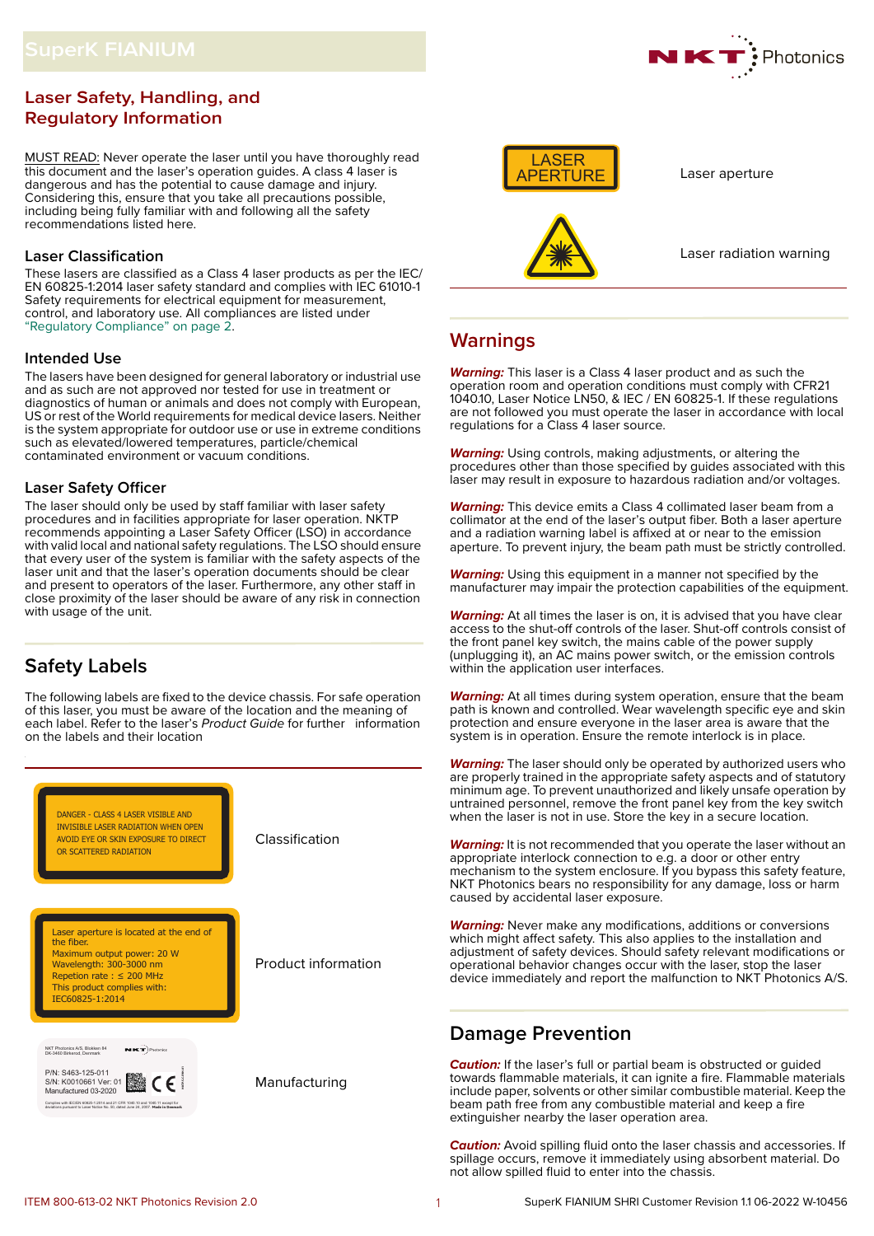## **Laser Safety, Handling, and Regulatory Information**

MUST READ: Never operate the laser until you have thoroughly read this document and the laser's operation guides. A class 4 laser is dangerous and has the potential to cause damage and injury. Considering this, ensure that you take all precautions possible, including being fully familiar with and following all the safety recommendations listed here.

## **Laser Classification**

These lasers are classified as a Class 4 laser products as per the IEC/ EN 60825-1:2014 laser safety standard and complies with IEC 61010-1 Safety requirements for electrical equipment for measurement, control, and laboratory use. All compliances are listed under ["Regulatory Compliance" on page 2.](#page-1-0)

## **Intended Use**

The lasers have been designed for general laboratory or industrial use and as such are not approved nor tested for use in treatment or diagnostics of human or animals and does not comply with European, US or rest of the World requirements for medical device lasers. Neither is the system appropriate for outdoor use or use in extreme conditions such as elevated/lowered temperatures, particle/chemical contaminated environment or vacuum conditions.

## **Laser Safety Officer**

The laser should only be used by staff familiar with laser safety procedures and in facilities appropriate for laser operation. NKTP recommends appointing a Laser Safety Officer (LSO) in accordance with valid local and national safety regulations. The LSO should ensure that every user of the system is familiar with the safety aspects of the laser unit and that the laser's operation documents should be clear and present to operators of the laser. Furthermore, any other staff in close proximity of the laser should be aware of any risk in connection with usage of the unit.

# <span id="page-0-0"></span>**Safety Labels**

The following labels are fixed to the device chassis. For safe operation of this laser, you must be aware of the location and the meaning of each label. Refer to the laser's Product Guide for further information on the labels and their location





Laser aperture



Laser radiation warning

 $\mathsf{\Gamma}$  : Photonics

# **Warnings**

**Warning:** This laser is a Class 4 laser product and as such the operation room and operation conditions must comply with CFR21 1040.10, Laser Notice LN50, & IEC / EN 60825-1. If these regulations are not followed you must operate the laser in accordance with local regulations for a Class 4 laser source.

**Warning:** Using controls, making adjustments, or altering the procedures other than those specified by guides associated with this laser may result in exposure to hazardous radiation and/or voltages.

**Warning:** This device emits a Class 4 collimated laser beam from a collimator at the end of the laser's output fiber. Both a laser aperture and a radiation warning label is affixed at or near to the emission aperture. To prevent injury, the beam path must be strictly controlled.

**Warning:** Using this equipment in a manner not specified by the manufacturer may impair the protection capabilities of the equipment.

**Warning:** At all times the laser is on, it is advised that you have clear access to the shut-off controls of the laser. Shut-off controls consist of the front panel key switch, the mains cable of the power supply (unplugging it), an AC mains power switch, or the emission controls within the application user interfaces.

**Warning:** At all times during system operation, ensure that the beam path is known and controlled. Wear wavelength specific eye and skin protection and ensure everyone in the laser area is aware that the system is in operation. Ensure the remote interlock is in place.

**Warning:** The laser should only be operated by authorized users who are properly trained in the appropriate safety aspects and of statutory minimum age. To prevent unauthorized and likely unsafe operation by untrained personnel, remove the front panel key from the key switch when the laser is not in use. Store the key in a secure location.

**Warning:** It is not recommended that you operate the laser without an appropriate interlock connection to e.g. a door or other entry mechanism to the system enclosure. If you bypass this safety feature, NKT Photonics bears no responsibility for any damage, loss or harm caused by accidental laser exposure.

**Warning:** Never make any modifications, additions or conversions which might affect safety. This also applies to the installation and adjustment of safety devices. Should safety relevant modifications or operational behavior changes occur with the laser, stop the laser device immediately and report the malfunction to NKT Photonics A/S.

# **Damage Prevention**

**Caution:** If the laser's full or partial beam is obstructed or guided towards flammable materials, it can ignite a fire. Flammable materials include paper, solvents or other similar combustible material. Keep the beam path free from any combustible material and keep a fire extinguisher nearby the laser operation area.

**Caution:** Avoid spilling fluid onto the laser chassis and accessories. If spillage occurs, remove it immediately using absorbent material. Do not allow spilled fluid to enter into the chassis.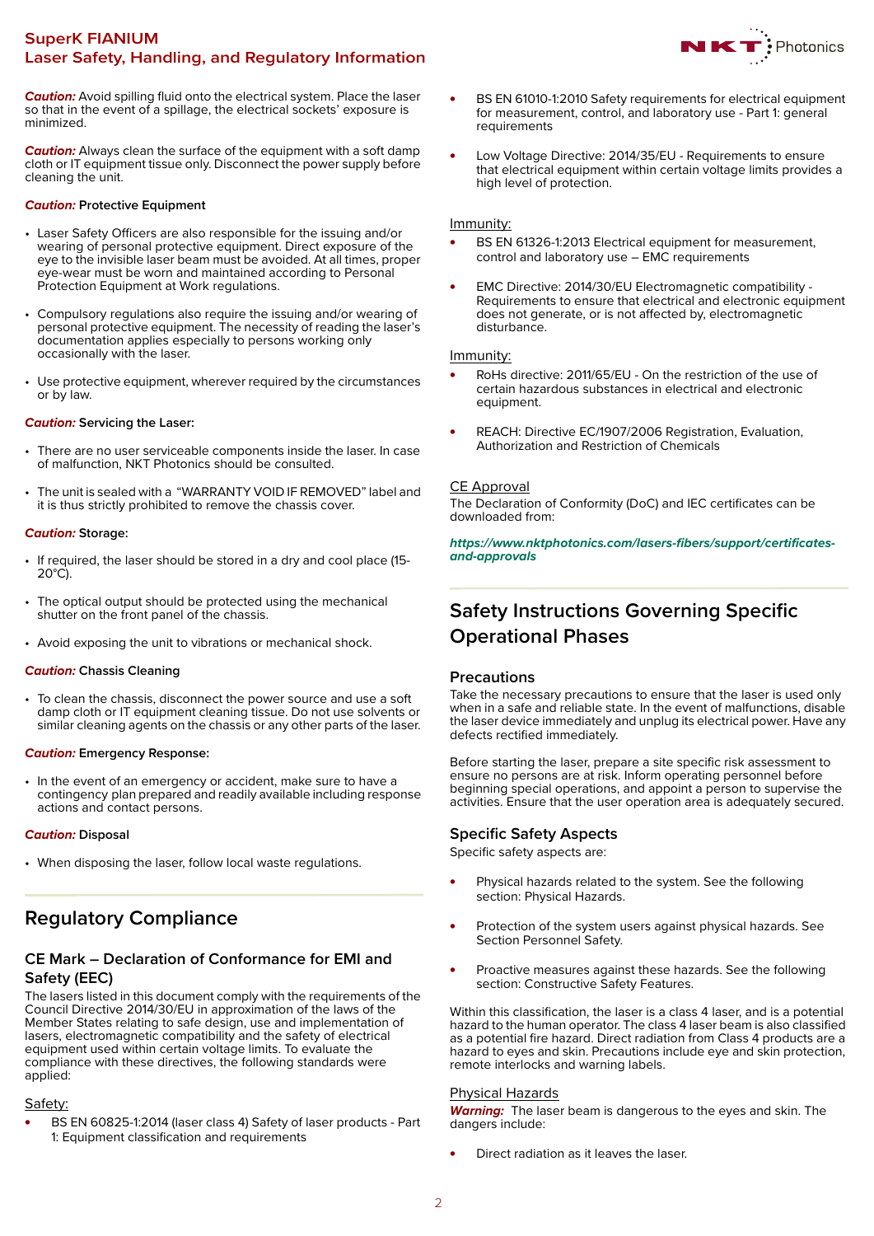## **SuperK FIANIUM Laser Safety, Handling, and Regulatory Information**



**Caution:** Avoid spilling fluid onto the electrical system. Place the laser so that in the event of a spillage, the electrical sockets' exposure is minimized.

**Caution:** Always clean the surface of the equipment with a soft damp cloth or IT equipment tissue only. Disconnect the power supply before cleaning the unit.

## **Caution: Protective Equipment**

- Laser Safety Officers are also responsible for the issuing and/or wearing of personal protective equipment. Direct exposure of the eye to the invisible laser beam must be avoided. At all times, proper eye-wear must be worn and maintained according to Personal Protection Equipment at Work regulations.
- Compulsory regulations also require the issuing and/or wearing of personal protective equipment. The necessity of reading the laser's documentation applies especially to persons working only occasionally with the laser.
- Use protective equipment, wherever required by the circumstances or by law.

## **Caution: Servicing the Laser:**

- There are no user serviceable components inside the laser. In case of malfunction, NKT Photonics should be consulted.
- The unit is sealed with a "WARRANTY VOID IF REMOVED" label and it is thus strictly prohibited to remove the chassis cover.

### **Caution: Storage:**

- If required, the laser should be stored in a dry and cool place (15- 20°C).
- The optical output should be protected using the mechanical shutter on the front panel of the chassis.
- Avoid exposing the unit to vibrations or mechanical shock.

## **Caution: Chassis Cleaning**

• To clean the chassis, disconnect the power source and use a soft damp cloth or IT equipment cleaning tissue. Do not use solvents or similar cleaning agents on the chassis or any other parts of the laser.

### **Caution: Emergency Response:**

• In the event of an emergency or accident, make sure to have a contingency plan prepared and readily available including response actions and contact persons.

### **Caution: Disposal**

• When disposing the laser, follow local waste regulations.

# <span id="page-1-0"></span>**Regulatory Compliance**

## **CE Mark – Declaration of Conformance for EMI and Safety (EEC)**

The lasers listed in this document comply with the requirements of the Council Directive 2014/30/EU in approximation of the laws of the Member States relating to safe design, use and implementation of lasers, electromagnetic compatibility and the safety of electrical equipment used within certain voltage limits. To evaluate the compliance with these directives, the following standards were applied:

## Safety:

• BS EN 60825-1:2014 (laser class 4) Safety of laser products - Part 1: Equipment classification and requirements

- BS EN 61010-1:2010 Safety requirements for electrical equipment for measurement, control, and laboratory use - Part 1: general requirements
- Low Voltage Directive: 2014/35/EU Requirements to ensure that electrical equipment within certain voltage limits provides a high level of protection.

## Immunity:

- BS EN 61326-1:2013 Electrical equipment for measurement, control and laboratory use – EMC requirements
- EMC Directive: 2014/30/EU Electromagnetic compatibility Requirements to ensure that electrical and electronic equipment does not generate, or is not affected by, electromagnetic disturbance.

### Immunity:

- RoHs directive: 2011/65/EU On the restriction of the use of certain hazardous substances in electrical and electronic equipment.
- REACH: Directive EC/1907/2006 Registration, Evaluation, Authorization and Restriction of Chemicals

## CE Approval

The Declaration of Conformity (DoC) and IEC certificates can be downloaded from:

**[https://www.nktphotonics.com/lasers-fibers/support/certificates](https://www.nktphotonics.com/lasers-fibers/support/certificates-and-approvals)and-approvals**

# **Safety Instructions Governing Specific Operational Phases**

## **Precautions**

Take the necessary precautions to ensure that the laser is used only when in a safe and reliable state. In the event of malfunctions, disable the laser device immediately and unplug its electrical power. Have any defects rectified immediately.

Before starting the laser, prepare a site specific risk assessment to ensure no persons are at risk. Inform operating personnel before beginning special operations, and appoint a person to supervise the activities. Ensure that the user operation area is adequately secured.

## **Specific Safety Aspects**

Specific safety aspects are:

- Physical hazards related to the system. See the following section: Physical Hazards.
- Protection of the system users against physical hazards. See Section Personnel Safety.
- Proactive measures against these hazards. See the following section: Constructive Safety Features.

Within this classification, the laser is a class 4 laser, and is a potential hazard to the human operator. The class 4 laser beam is also classified as a potential fire hazard. Direct radiation from Class 4 products are a hazard to eyes and skin. Precautions include eye and skin protection, remote interlocks and warning labels.

### Physical Hazards

**Warning:** The laser beam is dangerous to the eyes and skin. The dangers include:

• Direct radiation as it leaves the laser.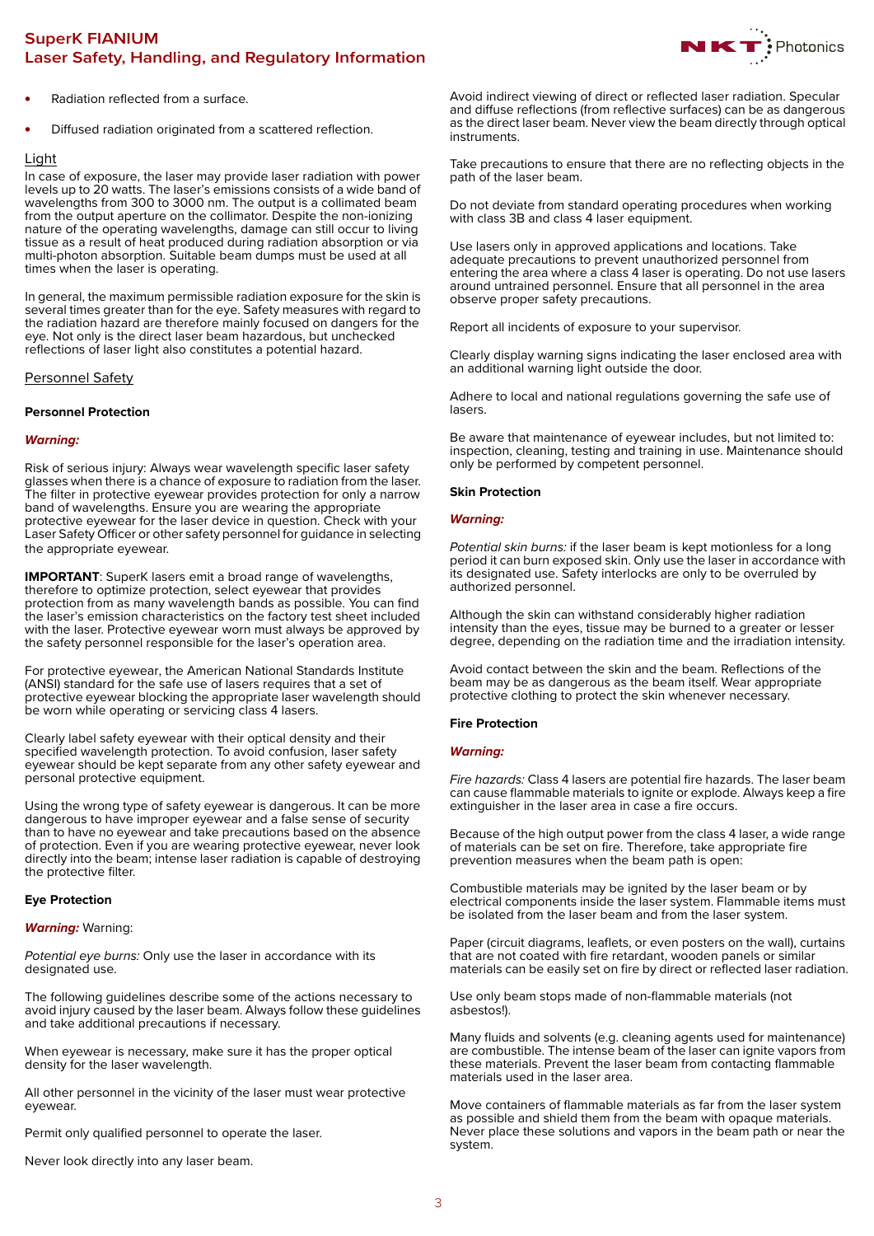## **SuperK FIANIUM Laser Safety, Handling, and Regulatory Information**



- Radiation reflected from a surface.
- Diffused radiation originated from a scattered reflection.

### Light

In case of exposure, the laser may provide laser radiation with power levels up to 20 watts. The laser's emissions consists of a wide band of wavelengths from 300 to 3000 nm. The output is a collimated beam from the output aperture on the collimator. Despite the non-ionizing nature of the operating wavelengths, damage can still occur to living tissue as a result of heat produced during radiation absorption or via multi-photon absorption. Suitable beam dumps must be used at all times when the laser is operating.

In general, the maximum permissible radiation exposure for the skin is several times greater than for the eye. Safety measures with regard to the radiation hazard are therefore mainly focused on dangers for the eye. Not only is the direct laser beam hazardous, but unchecked reflections of laser light also constitutes a potential hazard.

## Personnel Safety

#### **Personnel Protection**

## **Warning:**

Risk of serious injury: Always wear wavelength specific laser safety glasses when there is a chance of exposure to radiation from the laser. The filter in protective eyewear provides protection for only a narrow band of wavelengths. Ensure you are wearing the appropriate protective eyewear for the laser device in question. Check with your Laser Safety Officer or other safety personnel for guidance in selecting the appropriate eyewear.

**IMPORTANT:** SuperK lasers emit a broad range of wavelengths, therefore to optimize protection, select eyewear that provides protection from as many wavelength bands as possible. You can find the laser's emission characteristics on the factory test sheet included with the laser. Protective eyewear worn must always be approved by the safety personnel responsible for the laser's operation area.

For protective eyewear, the American National Standards Institute (ANSI) standard for the safe use of lasers requires that a set of protective eyewear blocking the appropriate laser wavelength should be worn while operating or servicing class 4 lasers.

Clearly label safety eyewear with their optical density and their specified wavelength protection. To avoid confusion, laser safety eyewear should be kept separate from any other safety eyewear and personal protective equipment.

Using the wrong type of safety eyewear is dangerous. It can be more dangerous to have improper eyewear and a false sense of security than to have no eyewear and take precautions based on the absence of protection. Even if you are wearing protective eyewear, never look directly into the beam; intense laser radiation is capable of destroying the protective filter.

#### **Eye Protection**

#### **Warning:** Warning:

Potential eye burns: Only use the laser in accordance with its designated use.

The following guidelines describe some of the actions necessary to avoid injury caused by the laser beam. Always follow these guidelines and take additional precautions if necessary.

When eyewear is necessary, make sure it has the proper optical density for the laser wavelength.

All other personnel in the vicinity of the laser must wear protective eyewear.

Permit only qualified personnel to operate the laser.

Never look directly into any laser beam.

Avoid indirect viewing of direct or reflected laser radiation. Specular and diffuse reflections (from reflective surfaces) can be as dangerous as the direct laser beam. Never view the beam directly through optical instruments.

Take precautions to ensure that there are no reflecting objects in the path of the laser beam.

Do not deviate from standard operating procedures when working with class 3B and class 4 laser equipment.

Use lasers only in approved applications and locations. Take adequate precautions to prevent unauthorized personnel from entering the area where a class 4 laser is operating. Do not use lasers around untrained personnel. Ensure that all personnel in the area observe proper safety precautions.

Report all incidents of exposure to your supervisor.

Clearly display warning signs indicating the laser enclosed area with an additional warning light outside the door.

Adhere to local and national regulations governing the safe use of lasers.

Be aware that maintenance of eyewear includes, but not limited to: inspection, cleaning, testing and training in use. Maintenance should only be performed by competent personnel.

#### **Skin Protection**

## **Warning:**

Potential skin burns: if the laser beam is kept motionless for a long period it can burn exposed skin. Only use the laser in accordance with its designated use. Safety interlocks are only to be overruled by authorized personnel.

Although the skin can withstand considerably higher radiation intensity than the eyes, tissue may be burned to a greater or lesser degree, depending on the radiation time and the irradiation intensity.

Avoid contact between the skin and the beam. Reflections of the beam may be as dangerous as the beam itself. Wear appropriate protective clothing to protect the skin whenever necessary.

#### **Fire Protection**

## **Warning:**

Fire hazards: Class 4 lasers are potential fire hazards. The laser beam can cause flammable materials to ignite or explode. Always keep a fire extinguisher in the laser area in case a fire occurs.

Because of the high output power from the class 4 laser, a wide range of materials can be set on fire. Therefore, take appropriate fire prevention measures when the beam path is open:

Combustible materials may be ignited by the laser beam or by electrical components inside the laser system. Flammable items must be isolated from the laser beam and from the laser system.

Paper (circuit diagrams, leaflets, or even posters on the wall), curtains that are not coated with fire retardant, wooden panels or similar materials can be easily set on fire by direct or reflected laser radiation.

Use only beam stops made of non-flammable materials (not asbestos!).

Many fluids and solvents (e.g. cleaning agents used for maintenance) are combustible. The intense beam of the laser can ignite vapors from these materials. Prevent the laser beam from contacting flammable materials used in the laser area.

Move containers of flammable materials as far from the laser system as possible and shield them from the beam with opaque materials. Never place these solutions and vapors in the beam path or near the system.